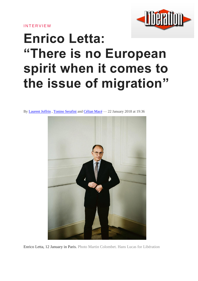**INTERVIEW** 



# **Enrico Letta: "There is no European spirit when it comes to the issue of migration"**

By [Laurent](http://www.liberation.fr/auteur/1867-laurent-joffrin) Joffrin , Tonino [Serafini](http://www.liberation.fr/auteur/1941-tonino-serafini) and [Célian](http://www.liberation.fr/auteur/6841-celian-mace) Macé — 22 January 2018 at 19:36



Enrico Letta, 12 January in Paris. Photo Martin Colombet. Hans Lucas for Libération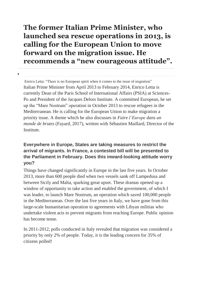# **The former Italian Prime Minister, who launched sea rescue operations in 2013, is calling for the European Union to move forward on the migration issue. He recommends a "new courageous attitude".**

 $\bullet$ 

Enrico Letta: "There is no European spirit when it comes to the issue of migration" Italian Prime Minister from April 2013 to February 2014, Enrico Letta is currently Dean of the Paris School of International Affairs (PSIA) at Sciences-Po and President of the Jacques Delors Institute. A committed European, he set up the "Mare Nostrum" operation in October 2013 to rescue refugees in the Mediterranean. He is calling for the European Union to make migration a priority issue. A theme which he also discusses in *Faire l'Europe dans un monde de brutes* (Fayard, 2017), written with Sébastien Maillard, Director of the Institute.

#### **Everywhere in Europe, States are taking measures to restrict the arrival of migrants. In France, a contested bill will be presented to the Parliament in February. Does this inward-looking attitude worry you?**

Things have changed significantly in Europe in the last five years. In October 2013, more than 600 people died when two vessels sank off Lampedusa and between Sicily and Malta, sparking great upset. These dramas opened up a window of opportunity to take action and enabled the government, of which I was leader, to launch Mare Nostrum, an operation which saved 100,000 people in the Mediterranean. Over the last five years in Italy, we have gone from this large-scale humanitarian operation to agreements with Libyan militias who undertake violent acts to prevent migrants from reaching Europe. Public opinion has become tense.

In 2011-2012, polls conducted in Italy revealed that migration was considered a priority by only 2% of people. Today, it is the leading concern for 35% of citizens polled!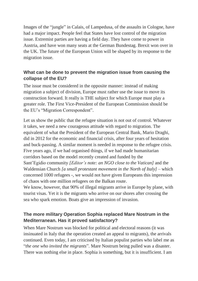Images of the "jungle" in Calais, of Lampedusa, of the assaults in Cologne, have had a major impact. People feel that States have lost control of the migration issue. Extremist parties are having a field day. They have come to power in Austria, and have won many seats at the German Bundestag. Brexit won over in the UK. The future of the European Union will be shaped by its response to the migration issue.

#### **What can be done to prevent the migration issue from causing the collapse of the EU?**

The issue must be considered in the opposite manner: instead of making migration a subject of division, Europe must rather use the issue to move its construction forward. It really is THE subject for which Europe must play a greater role. The First Vice-President of the European Commission should be the EU's "Migration Correspondent".

Let us show the public that the refugee situation is not out of control. Whatever it takes, we need a new courageous attitude with regard to migration. The equivalent of what the President of the European Central Bank, Mario Draghi, did in 2012 for the economic and financial crisis, after four years of hesitation and buck-passing. A similar moment is needed in response to the refugee crisis. Five years ago, if we had organised things, if we had made humanitarian corridors based on the model recently created and funded by the Sant'Egidio community *[Editor's note: an NGO close to the Vatican]* and the Waldensian Church *[a small protestant movement in the North of Italy]* – which concerned 1000 refugees -, we would not have given Europeans this impression of chaos with one million refugees on the Balkan route.

We know, however, that 90% of illegal migrants arrive in Europe by plane, with tourist visas. Yet it is the migrants who arrive on our shores after crossing the sea who spark emotion. Boats give an impression of invasion.

# **The more military Operation Sophia replaced Mare Nostrum in the Mediterranean. Has it proved satisfactory?**

When Mare Nostrum was blocked for political and electoral reasons (it was insinuated in Italy that the operation created an appeal to migrants), the arrivals continued. Even today, I am criticised by Italian populist parties who label me as "*the one who invited the migrants*". Mare Nostrum being pulled was a disaster. There was nothing else in place. Sophia is something, but it is insufficient. I am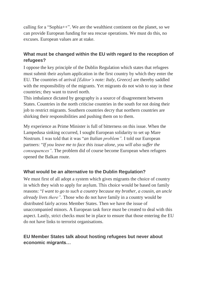calling for a "Sophia++". We are the wealthiest continent on the planet, so we can provide European funding for sea rescue operations. We must do this, no excuses. European values are at stake.

#### **What must be changed within the EU with regard to the reception of refugees?**

I oppose the key principle of the Dublin Regulation which states that refugees must submit their asylum application in the first country by which they enter the EU. The countries of arrival *[Editor's note: Italy, Greece]* are thereby saddled with the responsibility of the migrants. Yet migrants do not wish to stay in these countries; they want to travel north.

This imbalance dictated by geography is a source of disagreement between States. Countries in the north criticise countries in the south for not doing their job to restrict migrants. Southern countries decry that northern countries are shirking their responsibilities and pushing them on to them.

My experience as Prime Minister is full of bitterness on this issue. When the Lampedusa sinking occurred, I sought European solidarity to set up Mare Nostrum. I was told that it was "*an Italian problem".* I told our European partners: "*If you leave me to face this issue alone, you will also suffer the consequences".* The problem did of course become European when refugees opened the Balkan route.

#### **What would be an alternative to the Dublin Regulation?**

We must first of all adopt a system which gives migrants the choice of country in which they wish to apply for asylum. This choice would be based on family reasons: "*I want to go to such a country because my brother, a cousin, an uncle already lives there".* Those who do not have family in a country would be distributed fairly across Member States. Then we have the issue of unaccompanied minors. A European task force must be created to deal with this aspect. Lastly, strict checks must be in place to ensure that those entering the EU do not have links to terrorist organisations.

#### **EU Member States talk about hosting refugees but never about economic migrants…**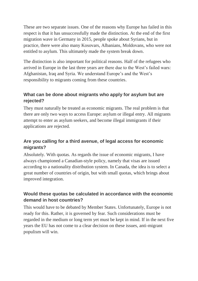These are two separate issues. One of the reasons why Europe has failed in this respect is that it has unsuccessfully made the distinction. At the end of the first migration wave in Germany in 2015, people spoke about Syrians, but in practice, there were also many Kosovars, Albanians, Moldovans, who were not entitled to asylum. This ultimately made the system break down.

The distinction is also important for political reasons. Half of the refugees who arrived in Europe in the last three years are there due to the West's failed wars: Afghanistan, Iraq and Syria. We understand Europe's and the West's responsibility to migrants coming from these countries.

#### **What can be done about migrants who apply for asylum but are rejected?**

They must naturally be treated as economic migrants. The real problem is that there are only two ways to access Europe: asylum or illegal entry. All migrants attempt to enter as asylum seekers, and become illegal immigrants if their applications are rejected.

#### **Are you calling for a third avenue, of legal access for economic migrants?**

Absolutely. With quotas. As regards the issue of economic migrants, I have always championed a Canadian-style policy, namely that visas are issued according to a nationality distribution system. In Canada, the idea is to select a great number of countries of origin, but with small quotas, which brings about improved integration.

#### **Would these quotas be calculated in accordance with the economic demand in host countries?**

This would have to be debated by Member States. Unfortunately, Europe is not ready for this. Rather, it is governed by fear. Such considerations must be regarded in the medium or long term yet must be kept in mind. If in the next five years the EU has not come to a clear decision on these issues, anti-migrant populism will win.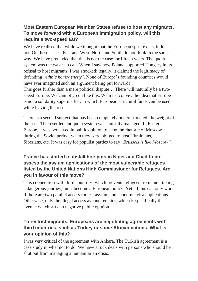#### **Most Eastern European Member States refuse to host any migrants. To move forward with a European immigration policy, will this require a two-speed EU?**

We have realised that while we thought that the European spirit exists, it does not. On these issues, East and West, North and South do not think in the same way. We have pretended that this is not the case for fifteen years. The quota system was the wake-up call. When I saw how Poland supported Hungary in its refusal to host migrants, I was shocked: legally, it claimed the legitimacy of defending "*ethnic homogeneity*". None of Europe's founding countries would have ever imagined such an argument being put forward!

This goes further than a mere political dispute… There will naturally be a twospeed Europe. We cannot go on like this. We must convey the idea that Europe is not a solidarity supermarket, in which European structural funds can be used, while leaving the rest.

There is a second subject that has been completely underestimated: the weight of the past. The resettlement quota system was clumsily managed. In Eastern Europe, it was perceived in public opinion to echo the rhetoric of Moscow during the Soviet period, when they were obliged to host Ukrainians, Siberians, etc. It was easy for populist parties to say "*Brussels is like Moscow"*.

## **France has started to install hotspots in Niger and Chad to preassess the asylum applications of the most vulnerable refugees listed by the United Nations High Commissioner for Refugees. Are you in favour of this move?**

This cooperation with third countries, which prevents refugees from undertaking a dangerous journey, must become a European policy. Yet all this can only work if there are two parallel access routes: asylum and economic visa applications. Otherwise, only the illegal access avenue remains, which is specifically the avenue which stirs up negative public opinion.

# **To restrict migrants, Europeans are negotiating agreements with third countries, such as Turkey or some African nations. What is your opinion of this?**

I was very critical of the agreement with Ankara. The Turkish agreement is a case study in what not to do. We have struck deals with persons who should be shut out from managing a humanitarian crisis.